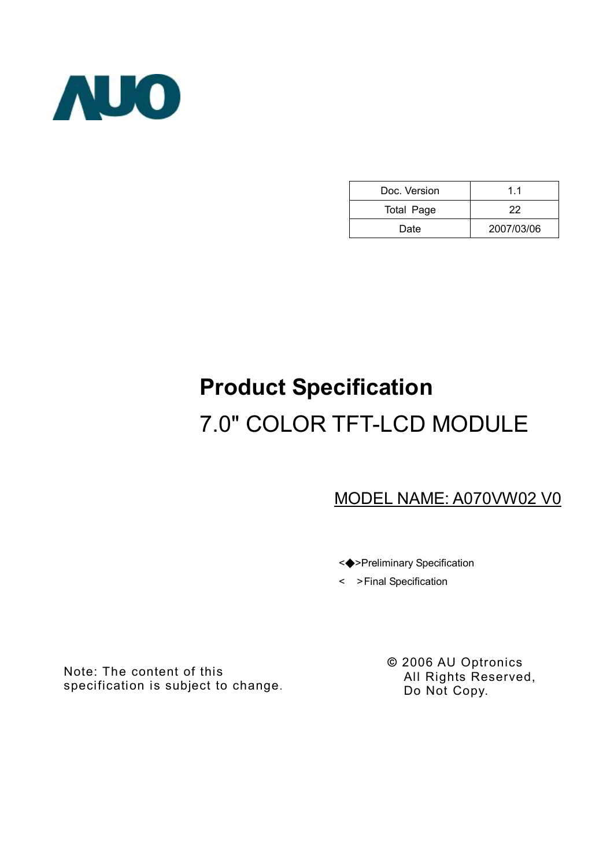

| Doc. Version      | 11         |
|-------------------|------------|
| <b>Total Page</b> | 22         |
| Date              | 2007/03/06 |

# **Product Specification**  7.0" COLOR TFT-LCD MODULE

# MODEL NAME: A070VW02 V0

<◆>Preliminary Specification

< >Final Specification

Note: The content of this specification is subject to change. **©** 2006 AU Optronics All Rights Reserved, Do Not Copy.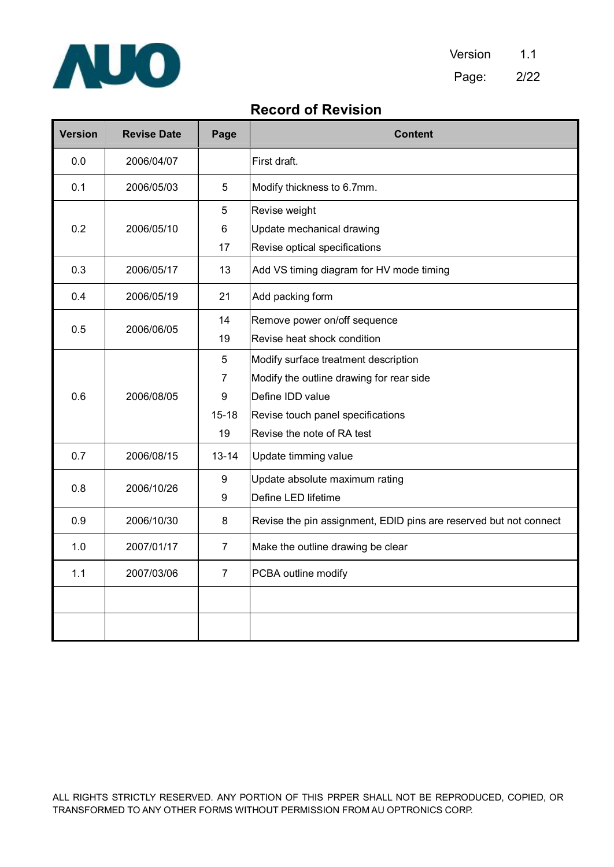

## **Record of Revision**

| <b>Version</b> | <b>Revise Date</b> | Page           | <b>Content</b>                                                    |  |
|----------------|--------------------|----------------|-------------------------------------------------------------------|--|
| 0.0            | 2006/04/07         |                | First draft.                                                      |  |
| 0.1            | 2006/05/03         | 5              | Modify thickness to 6.7mm.                                        |  |
|                |                    | 5              | Revise weight                                                     |  |
| 0.2            | 2006/05/10         | 6              | Update mechanical drawing                                         |  |
|                |                    | 17             | Revise optical specifications                                     |  |
| 0.3            | 2006/05/17         | 13             | Add VS timing diagram for HV mode timing                          |  |
| 0.4            | 2006/05/19         | 21             | Add packing form                                                  |  |
|                |                    | 14             | Remove power on/off sequence                                      |  |
| 0.5            | 2006/06/05         | 19             | Revise heat shock condition                                       |  |
|                |                    | 5              | Modify surface treatment description                              |  |
|                | 2006/08/05         | $\overline{7}$ | Modify the outline drawing for rear side                          |  |
| 0.6            |                    | 9              | Define IDD value                                                  |  |
|                |                    | $15 - 18$      | Revise touch panel specifications                                 |  |
|                |                    | 19             | Revise the note of RA test                                        |  |
| 0.7            | 2006/08/15         | $13 - 14$      | Update timming value                                              |  |
|                |                    | 9              | Update absolute maximum rating                                    |  |
| 0.8            | 2006/10/26         | 9              | Define LED lifetime                                               |  |
| 0.9            | 2006/10/30         | 8              | Revise the pin assignment, EDID pins are reserved but not connect |  |
| 1.0            | 2007/01/17         | 7              | Make the outline drawing be clear                                 |  |
| 1.1            | 2007/03/06         | $\overline{7}$ | PCBA outline modify                                               |  |
|                |                    |                |                                                                   |  |
|                |                    |                |                                                                   |  |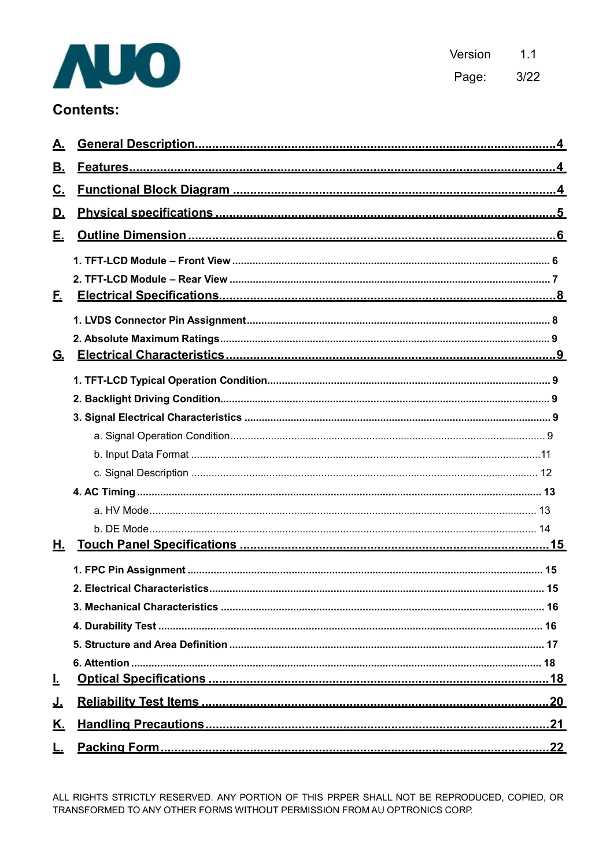

Version  $1.1$ Page:  $3/22$ 

# **Contents:**

| <u>A.</u> |  |
|-----------|--|
| <u>B.</u> |  |
| <u>c.</u> |  |
| <u>D.</u> |  |
| Е.        |  |
|           |  |
|           |  |
| E.        |  |
|           |  |
|           |  |
| <u>G.</u> |  |
|           |  |
|           |  |
|           |  |
|           |  |
|           |  |
|           |  |
|           |  |
|           |  |
|           |  |
| Н.        |  |
|           |  |
|           |  |
|           |  |
|           |  |
|           |  |
|           |  |
| Ŀ         |  |
| <u>J.</u> |  |
| <u>K.</u> |  |
| Ŀ.        |  |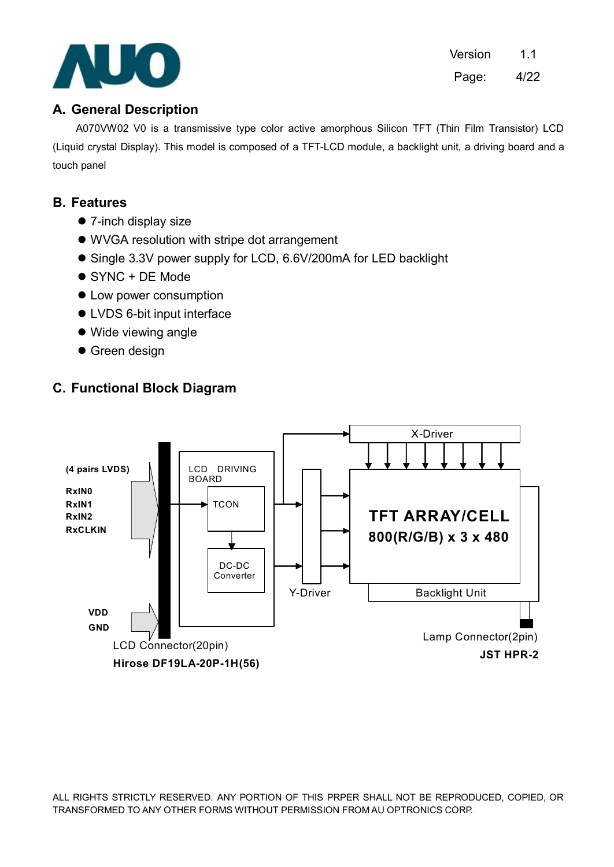

Version 1.1 Page: 4/22

## **A. General Description**

A070VW02 V0 is a transmissive type color active amorphous Silicon TFT (Thin Film Transistor) LCD (Liquid crystal Display). This model is composed of a TFT-LCD module, a backlight unit, a driving board and a touch panel

## **B. Features**

- $\bullet$  7-inch display size
- WVGA resolution with stripe dot arrangement
- Single 3.3V power supply for LCD, 6.6V/200mA for LED backlight
- $\bullet$  SYNC + DE Mode
- Low power consumption
- LVDS 6-bit input interface
- Wide viewing angle
- **Green design**

## **C. Functional Block Diagram**

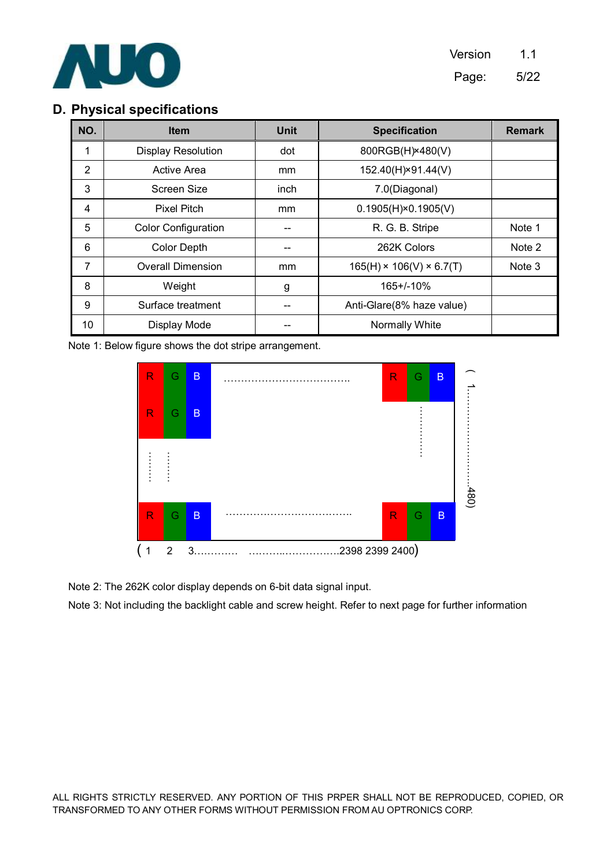

## **D. Physical specifications**

| NO. | <b>Unit</b><br><b>Item</b> |               | <b>Specification</b>                 | <b>Remark</b> |
|-----|----------------------------|---------------|--------------------------------------|---------------|
|     | <b>Display Resolution</b>  | dot           | 800RGB(H) × 480(V)                   |               |
| 2   | Active Area                | mm            | 152.40(H)×91.44(V)                   |               |
| 3   | Screen Size                | inch          | 7.0(Diagonal)                        |               |
| 4   | <b>Pixel Pitch</b>         | <sub>mm</sub> | $0.1905(H) \times 0.1905(V)$         |               |
| 5   | <b>Color Configuration</b> |               | R. G. B. Stripe                      | Note 1        |
| 6   | <b>Color Depth</b>         |               | 262K Colors                          | Note 2        |
| 7   | <b>Overall Dimension</b>   | mm            | $165(H) \times 106(V) \times 6.7(T)$ | Note 3        |
| 8   | Weight                     | g             | 165+/-10%                            |               |
| 9   | Surface treatment          |               | Anti-Glare(8% haze value)            |               |
| 10  | Display Mode               |               | Normally White                       |               |

Note 1: Below figure shows the dot stripe arrangement.



Note 2: The 262K color display depends on 6-bit data signal input.

Note 3: Not including the backlight cable and screw height. Refer to next page for further information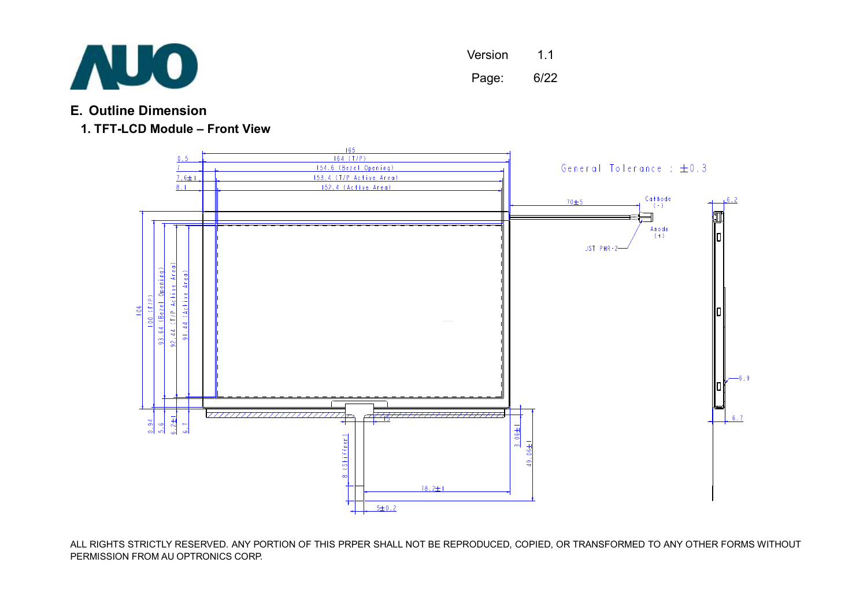

Version 1.1 Page: 6/22

## **E. Outline Dimension**

## **1. TFT-LCD Module – Front View**

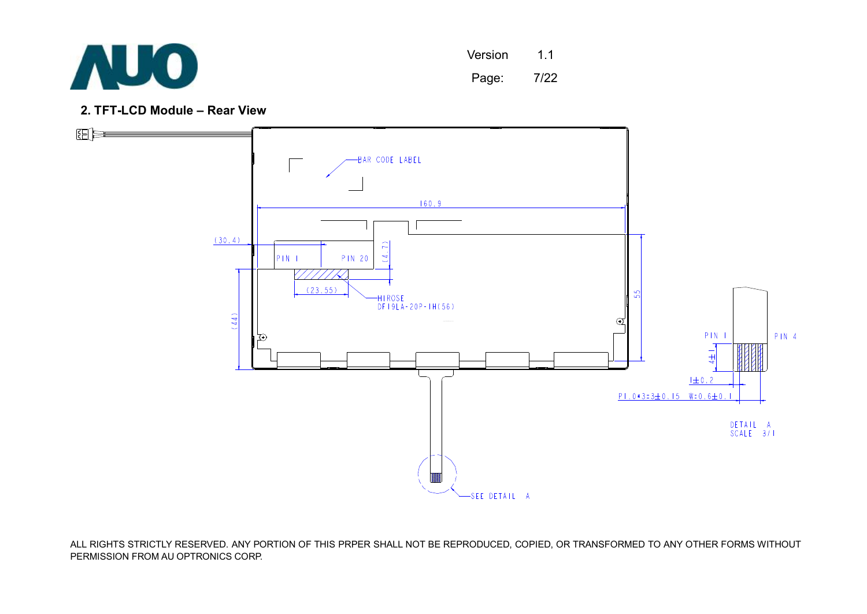

Version 1.1

Page: 7/22

**2. TFT-LCD Module – Rear View** 

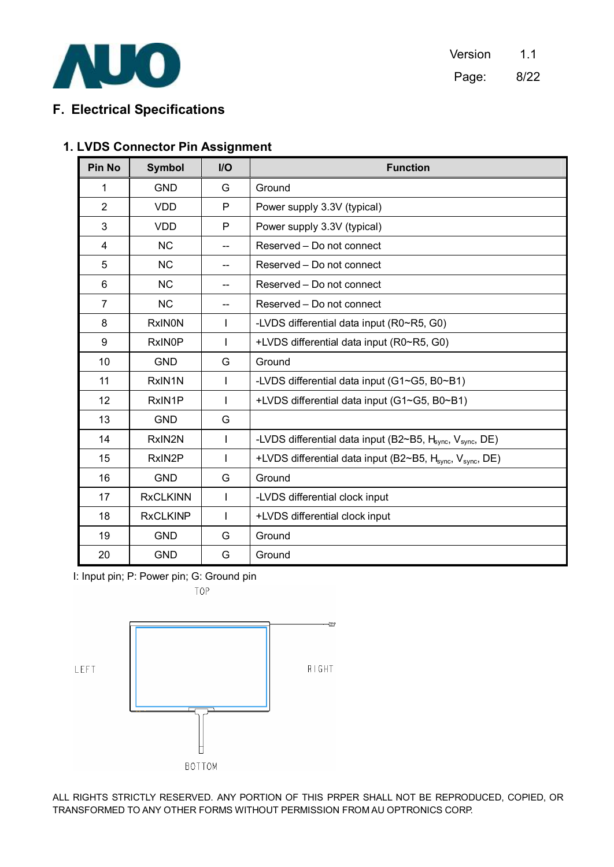

## **F. Electrical Specifications**

## **1. LVDS Connector Pin Assignment**

| <b>Pin No</b>  | <b>Symbol</b>   | I/O          | <b>Function</b>                                                                   |
|----------------|-----------------|--------------|-----------------------------------------------------------------------------------|
| 1              | <b>GND</b>      | G            | Ground                                                                            |
| $\overline{2}$ | <b>VDD</b>      | P            | Power supply 3.3V (typical)                                                       |
| 3              | <b>VDD</b>      | P            | Power supply 3.3V (typical)                                                       |
| 4              | <b>NC</b>       |              | Reserved - Do not connect                                                         |
| 5              | <b>NC</b>       | $-$          | Reserved – Do not connect                                                         |
| 6              | <b>NC</b>       |              | Reserved – Do not connect                                                         |
| $\overline{7}$ | <b>NC</b>       | --           | Reserved - Do not connect                                                         |
| 8              | <b>RxINON</b>   | T            | -LVDS differential data input (R0~R5, G0)                                         |
| 9              | <b>RxINOP</b>   | I            | +LVDS differential data input (R0~R5, G0)                                         |
| 10             | <b>GND</b>      | G            | Ground                                                                            |
| 11             | RxIN1N          | T            | -LVDS differential data input (G1~G5, B0~B1)                                      |
| 12             | RxIN1P          | ı            | +LVDS differential data input (G1~G5, B0~B1)                                      |
| 13             | <b>GND</b>      | G            |                                                                                   |
| 14             | RxIN2N          |              | -LVDS differential data input (B2~B5, H <sub>sync</sub> , V <sub>sync</sub> , DE) |
| 15             | RxIN2P          | $\mathbf{I}$ | +LVDS differential data input (B2~B5, H <sub>sync</sub> , V <sub>sync</sub> , DE) |
| 16             | <b>GND</b>      | G            | Ground                                                                            |
| 17             | <b>RxCLKINN</b> | $\mathbf{I}$ | -LVDS differential clock input                                                    |
| 18             | <b>RxCLKINP</b> |              | +LVDS differential clock input                                                    |
| 19             | <b>GND</b>      | G            | Ground                                                                            |
| 20             | <b>GND</b>      | G            | Ground                                                                            |

I: Input pin; P: Power pin; G: Ground pin

TOP

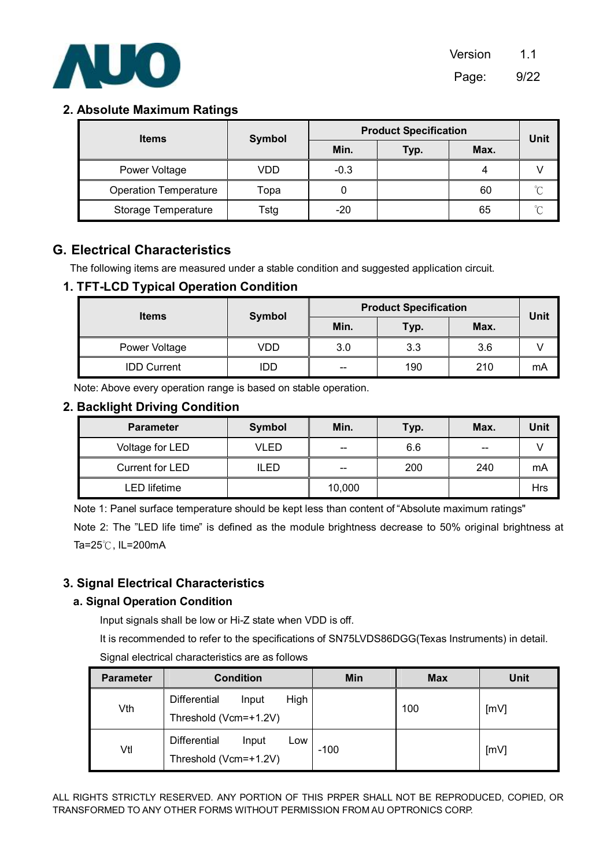

### **2. Absolute Maximum Ratings**

| <b>Items</b>                 | <b>Symbol</b> | <b>Product Specification</b> |      |      | Unit   |
|------------------------------|---------------|------------------------------|------|------|--------|
|                              |               | Min.                         | Typ. | Max. |        |
| Power Voltage                | VDD           | $-0.3$                       |      |      |        |
| <b>Operation Temperature</b> | Topa          |                              |      | 60   | $\sim$ |
| Storage Temperature          | Гstg          | $-20$                        |      | 65   |        |

## **G. Electrical Characteristics**

The following items are measured under a stable condition and suggested application circuit.

#### **1. TFT-LCD Typical Operation Condition**

| <b>Items</b>       | <b>Symbol</b> | <b>Product Specification</b> |      |      |      |  |
|--------------------|---------------|------------------------------|------|------|------|--|
|                    |               | Min.                         | Typ. | Max. | Unit |  |
| Power Voltage      | VDD           | 3.0                          | 3.3  | 3.6  |      |  |
| <b>IDD Current</b> | IDD           | --                           | 190  | 210  | mA   |  |

Note: Above every operation range is based on stable operation.

#### **2. Backlight Driving Condition**

| <b>Parameter</b> | <b>Symbol</b> | Min.   | Typ. | Max. | Unit |
|------------------|---------------|--------|------|------|------|
| Voltage for LED  | VLED          | --     | 6.6  | --   |      |
| Current for LED  | ILED          | --     | 200  | 240  | mA   |
| LED lifetime     |               | 10,000 |      |      | Hrs  |

Note 1: Panel surface temperature should be kept less than content of "Absolute maximum ratings"

Note 2: The "LED life time" is defined as the module brightness decrease to 50% original brightness at Ta=25℃, IL=200mA

#### **3. Signal Electrical Characteristics**

#### **a. Signal Operation Condition**

Input signals shall be low or Hi-Z state when VDD is off.

It is recommended to refer to the specifications of SN75LVDS86DGG(Texas Instruments) in detail.

Signal electrical characteristics are as follows

| <b>Parameter</b> | <b>Condition</b>                                              | Min    | <b>Max</b> | Unit |
|------------------|---------------------------------------------------------------|--------|------------|------|
| Vth              | High<br><b>Differential</b><br>Input<br>Threshold (Vcm=+1.2V) |        | 100        | [mV] |
| Vtl              | <b>Differential</b><br>Input<br>Low<br>Threshold (Vcm=+1.2V)  | $-100$ |            | [mV] |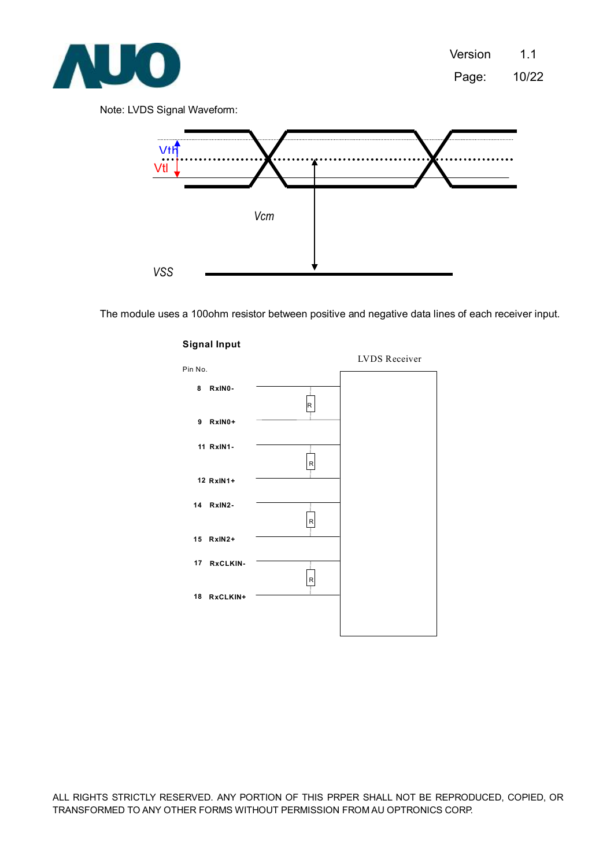

Note: LVDS Signal Waveform:



The module uses a 100ohm resistor between positive and negative data lines of each receiver input.



#### **Signal Input**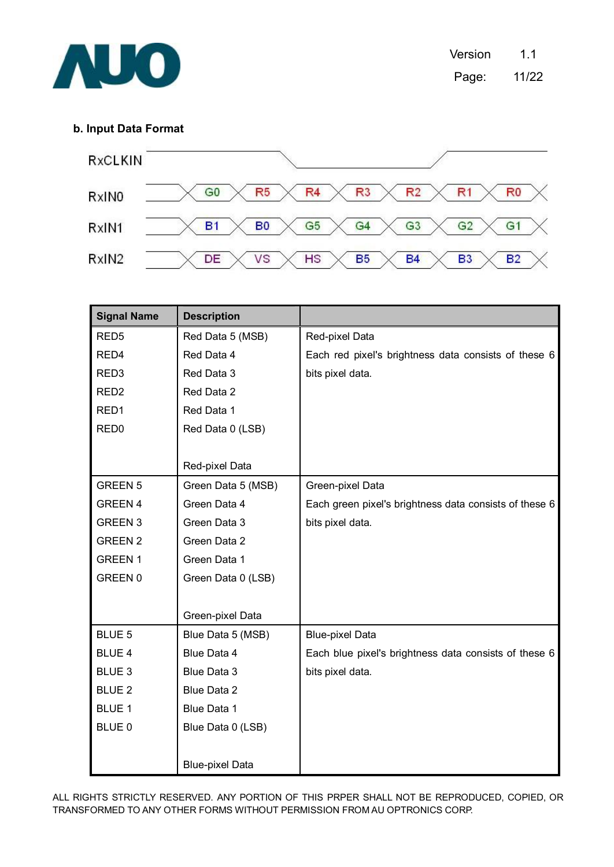

#### **b. Input Data Format**



| <b>Signal Name</b> | <b>Description</b>     |                                                        |
|--------------------|------------------------|--------------------------------------------------------|
| RED <sub>5</sub>   | Red Data 5 (MSB)       | Red-pixel Data                                         |
| RED4               | Red Data 4             | Each red pixel's brightness data consists of these 6   |
| RED <sub>3</sub>   | Red Data 3             | bits pixel data.                                       |
| RED <sub>2</sub>   | Red Data 2             |                                                        |
| RED1               | Red Data 1             |                                                        |
| RED <sub>0</sub>   | Red Data 0 (LSB)       |                                                        |
|                    |                        |                                                        |
|                    | Red-pixel Data         |                                                        |
| GREEN 5            | Green Data 5 (MSB)     | Green-pixel Data                                       |
| GREEN 4            | Green Data 4           | Each green pixel's brightness data consists of these 6 |
| <b>GREEN 3</b>     | Green Data 3           | bits pixel data.                                       |
| <b>GREEN 2</b>     | Green Data 2           |                                                        |
| <b>GREEN1</b>      | Green Data 1           |                                                        |
| GREEN 0            | Green Data 0 (LSB)     |                                                        |
|                    |                        |                                                        |
|                    | Green-pixel Data       |                                                        |
| BLUE 5             | Blue Data 5 (MSB)      | <b>Blue-pixel Data</b>                                 |
| <b>BLUE 4</b>      | Blue Data 4            | Each blue pixel's brightness data consists of these 6  |
| BLUE <sub>3</sub>  | Blue Data 3            | bits pixel data.                                       |
| <b>BLUE 2</b>      | Blue Data 2            |                                                        |
| <b>BLUE 1</b>      | Blue Data 1            |                                                        |
| BLUE 0             | Blue Data 0 (LSB)      |                                                        |
|                    |                        |                                                        |
|                    | <b>Blue-pixel Data</b> |                                                        |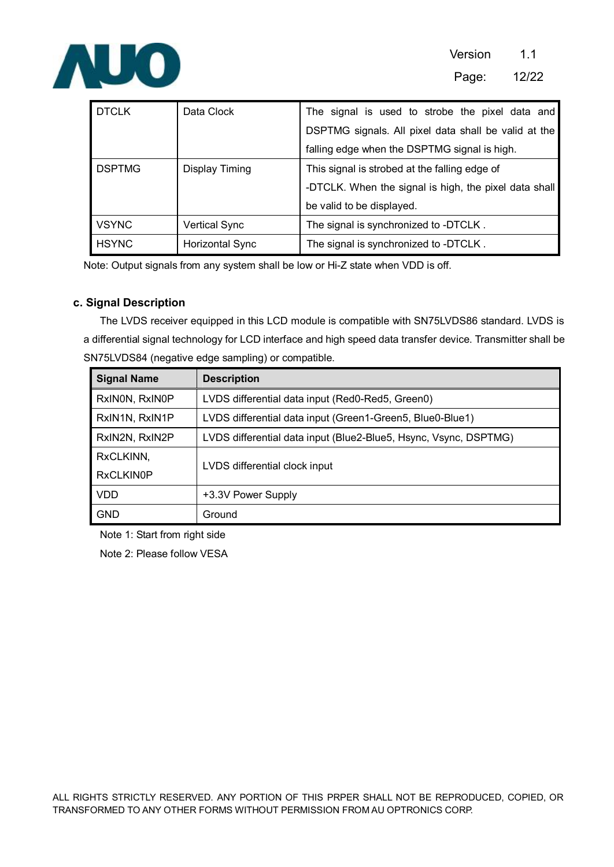

| <b>DTCLK</b>  | Data Clock           | The signal is used to strobe the pixel data and       |  |  |
|---------------|----------------------|-------------------------------------------------------|--|--|
|               |                      | DSPTMG signals. All pixel data shall be valid at the  |  |  |
|               |                      | falling edge when the DSPTMG signal is high.          |  |  |
| <b>DSPTMG</b> | Display Timing       | This signal is strobed at the falling edge of         |  |  |
|               |                      | -DTCLK. When the signal is high, the pixel data shall |  |  |
|               |                      | be valid to be displayed.                             |  |  |
| <b>VSYNC</b>  | <b>Vertical Sync</b> | The signal is synchronized to -DTCLK.                 |  |  |
| <b>HSYNC</b>  | Horizontal Sync      | The signal is synchronized to -DTCLK.                 |  |  |

Note: Output signals from any system shall be low or Hi-Z state when VDD is off.

#### **c. Signal Description**

The LVDS receiver equipped in this LCD module is compatible with SN75LVDS86 standard. LVDS is a differential signal technology for LCD interface and high speed data transfer device. Transmitter shall be SN75LVDS84 (negative edge sampling) or compatible.

| <b>Signal Name</b> | <b>Description</b>                                               |  |
|--------------------|------------------------------------------------------------------|--|
| RxINON, RxINOP     | LVDS differential data input (Red0-Red5, Green0)                 |  |
| RxIN1N, RxIN1P     | LVDS differential data input (Green1-Green5, Blue0-Blue1)        |  |
| RxIN2N, RxIN2P     | LVDS differential data input (Blue2-Blue5, Hsync, Vsync, DSPTMG) |  |
| RxCLKINN,          |                                                                  |  |
| <b>RxCLKIN0P</b>   | LVDS differential clock input                                    |  |
| <b>VDD</b>         | +3.3V Power Supply                                               |  |
| <b>GND</b>         | Ground                                                           |  |

Note 1: Start from right side

Note 2: Please follow VESA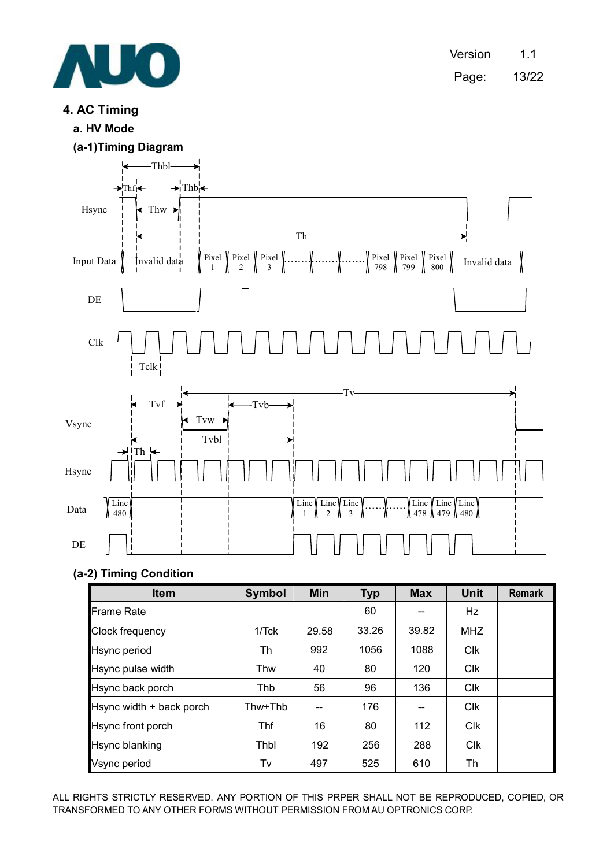

Version 1.1 Page: 13/22

## **4. AC Timing**

**a. HV Mode** 





#### **(a-2) Timing Condition**

| <b>Item</b>              | <b>Symbol</b> | <b>Min</b> | <b>Typ</b> | <b>Max</b> | <b>Unit</b> | <b>Remark</b> |
|--------------------------|---------------|------------|------------|------------|-------------|---------------|
| Frame Rate               |               |            | 60         |            | Hz          |               |
| Clock frequency          | 1/Tck         | 29.58      | 33.26      | 39.82      | <b>MHZ</b>  |               |
| Hsync period             | Th            | 992        | 1056       | 1088       | Clk         |               |
| Hsync pulse width        | Thw           | 40         | 80         | 120        | Clk         |               |
| Hsync back porch         | Thb           | 56         | 96         | 136        | <b>Clk</b>  |               |
| Hsync width + back porch | Thw+Thb       |            | 176        |            | Clk         |               |
| Hsync front porch        | Thf           | 16         | 80         | 112        | Clk         |               |
| Hsync blanking           | Thbl          | 192        | 256        | 288        | Clk         |               |
| Vsync period             | Tv            | 497        | 525        | 610        | Th          |               |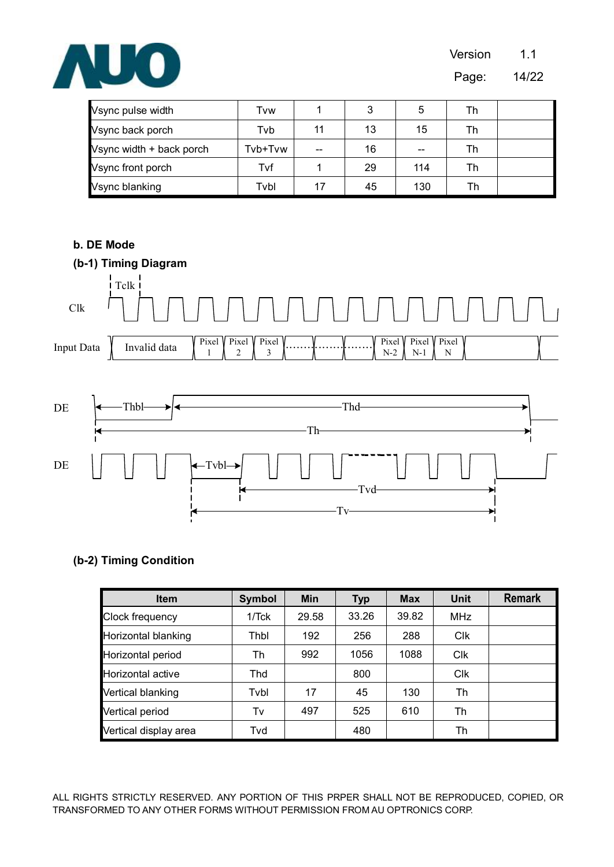

Page: 14/22

| Vsync pulse width        | Tvw     |       | 3  | 5   | Th |  |
|--------------------------|---------|-------|----|-----|----|--|
| Vsync back porch         | Tvb     |       | 13 | 15  | Th |  |
| Vsync width + back porch | Tvb+Tvw | $- -$ | 16 | --  | Th |  |
| Vsync front porch        | Tvf     |       | 29 | 114 | Тh |  |
| Vsync blanking           | Tvbl    |       | 45 | 130 | Th |  |

#### **b. DE Mode**



#### **(b-2) Timing Condition**

| <b>Item</b>           | <b>Symbol</b> | Min   | <b>Typ</b> | <b>Max</b> | <b>Unit</b> | <b>Remark</b> |
|-----------------------|---------------|-------|------------|------------|-------------|---------------|
| Clock frequency       | 1/Tck         | 29.58 | 33.26      | 39.82      | <b>MHz</b>  |               |
| Horizontal blanking   | Thbl          | 192   | 256        | 288        | <b>CIK</b>  |               |
| Horizontal period     | Th            | 992   | 1056       | 1088       | Clk         |               |
| Horizontal active     | Thd           |       | 800        |            | Clk         |               |
| Vertical blanking     | Tvbl          | 17    | 45         | 130        | Th          |               |
| Vertical period       | Tv            | 497   | 525        | 610        | Th          |               |
| Vertical display area | Tvd           |       | 480        |            | Th          |               |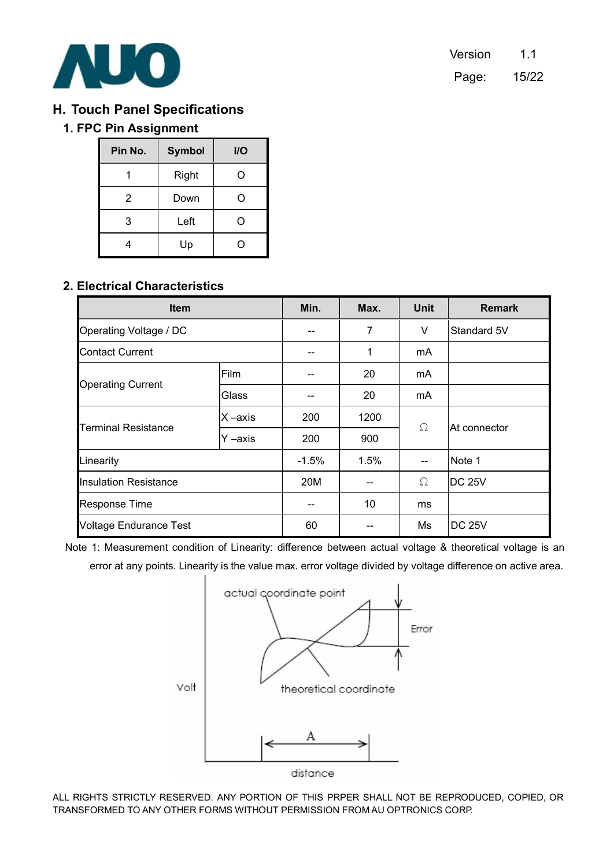

## **H. Touch Panel Specifications**

## **1. FPC Pin Assignment**

| Pin No. | <b>Symbol</b> | <b>I/O</b> |
|---------|---------------|------------|
|         | Right         | Ω          |
| 2       | Down          | ( )        |
| 3       | Left          | Ω          |
|         | Up            |            |

## **2. Electrical Characteristics**

| <b>Item</b>                   |         | Min.     | Max. | <b>Unit</b> | <b>Remark</b> |  |
|-------------------------------|---------|----------|------|-------------|---------------|--|
| Operating Voltage / DC        |         |          | 7    | V           | Standard 5V   |  |
| <b>Contact Current</b>        |         |          | 1    | mA          |               |  |
|                               | Film    |          | 20   | mA          |               |  |
| <b>Operating Current</b>      | Glass   |          | 20   | mA          |               |  |
|                               | X-axis  | 200      | 1200 | $\Omega$    | At connector  |  |
| <b>Terminal Resistance</b>    | Y –axis | 200      | 900  |             |               |  |
| Linearity                     |         | $-1.5\%$ | 1.5% |             | Note 1        |  |
| <b>Insulation Resistance</b>  |         | 20M      | --   | Ω           | <b>DC 25V</b> |  |
| <b>Response Time</b>          |         |          | 10   | ms          |               |  |
| <b>Voltage Endurance Test</b> |         | 60       |      | Ms          | <b>DC 25V</b> |  |

Note 1: Measurement condition of Linearity: difference between actual voltage & theoretical voltage is an error at any points. Linearity is the value max. error voltage divided by voltage difference on active area.

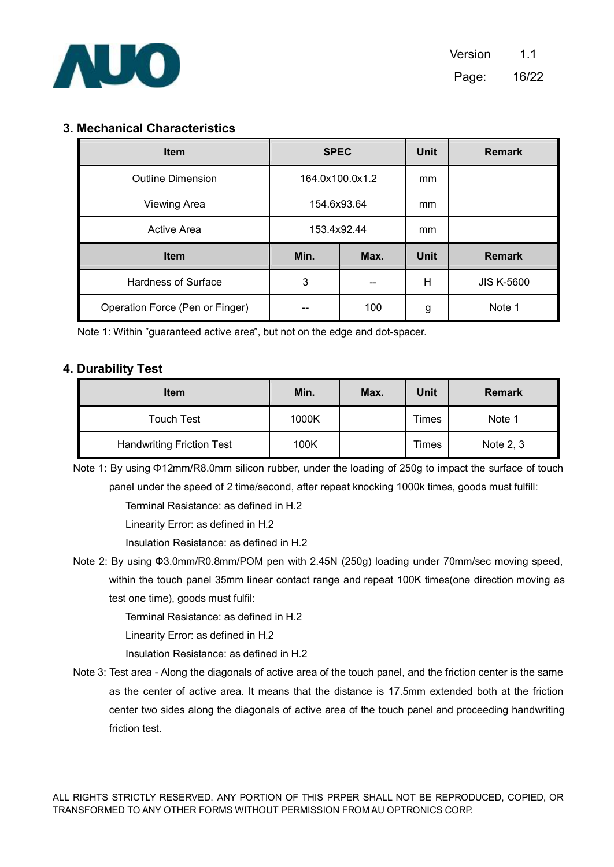

## **3. Mechanical Characteristics**

| <b>Item</b>                     | <b>SPEC</b>     |      | Unit        | <b>Remark</b>     |
|---------------------------------|-----------------|------|-------------|-------------------|
| <b>Outline Dimension</b>        | 164.0x100.0x1.2 |      | mm          |                   |
| <b>Viewing Area</b>             | 154.6x93.64     |      | mm          |                   |
| Active Area                     | 153.4x92.44     |      | mm          |                   |
| <b>Item</b>                     | Min.            | Max. | <b>Unit</b> | <b>Remark</b>     |
| <b>Hardness of Surface</b>      | 3               |      | H           | <b>JIS K-5600</b> |
| Operation Force (Pen or Finger) |                 | 100  | g           | Note 1            |

Note 1: Within "guaranteed active area", but not on the edge and dot-spacer.

#### **4. Durability Test**

| <b>Item</b>                      | Min.  | Max. | Unit  | <b>Remark</b> |
|----------------------------------|-------|------|-------|---------------|
| <b>Touch Test</b>                | 1000K |      | Times | Note 1        |
| <b>Handwriting Friction Test</b> | 100K  |      | Times | Note 2, 3     |

Note 1: By using Φ12mm/R8.0mm silicon rubber, under the loading of 250g to impact the surface of touch panel under the speed of 2 time/second, after repeat knocking 1000k times, goods must fulfill:

Terminal Resistance: as defined in H.2

Linearity Error: as defined in H.2

Insulation Resistance: as defined in H.2

Note 2: By using Φ3.0mm/R0.8mm/POM pen with 2.45N (250g) loading under 70mm/sec moving speed, within the touch panel 35mm linear contact range and repeat 100K times(one direction moving as test one time), goods must fulfil:

Terminal Resistance: as defined in H.2

Linearity Error: as defined in H.2

Insulation Resistance: as defined in H.2

Note 3: Test area - Along the diagonals of active area of the touch panel, and the friction center is the same as the center of active area. It means that the distance is 17.5mm extended both at the friction center two sides along the diagonals of active area of the touch panel and proceeding handwriting friction test.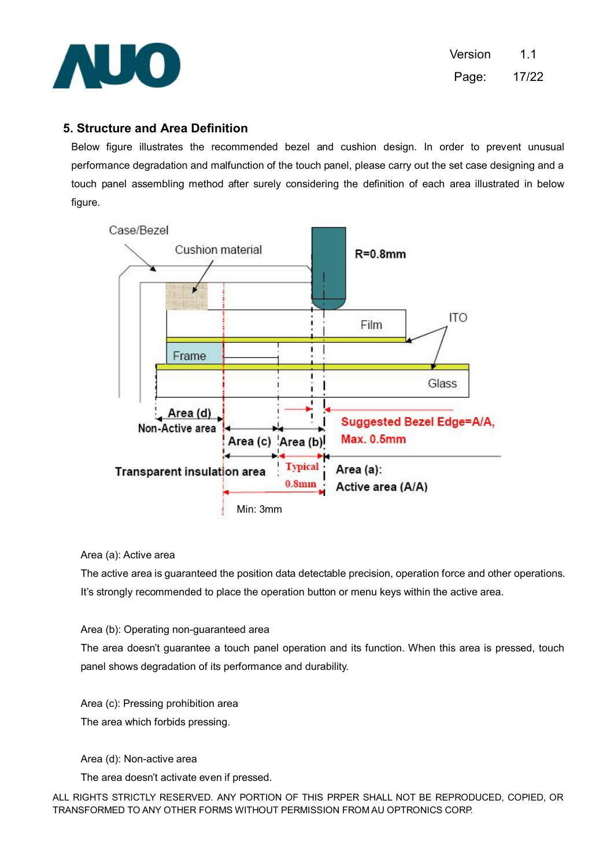

### **5. Structure and Area Definition**

Below figure illustrates the recommended bezel and cushion design. In order to prevent unusual performance degradation and malfunction of the touch panel, please carry out the set case designing and a touch panel assembling method after surely considering the definition of each area illustrated in below figure.



#### Area (a): Active area

The active area is guaranteed the position data detectable precision, operation force and other operations. It's strongly recommended to place the operation button or menu keys within the active area.

Area (b): Operating non-guaranteed area

The area doesn't guarantee a touch panel operation and its function. When this area is pressed, touch panel shows degradation of its performance and durability.

Area (c): Pressing prohibition area The area which forbids pressing.

Area (d): Non-active area

The area doesn't activate even if pressed.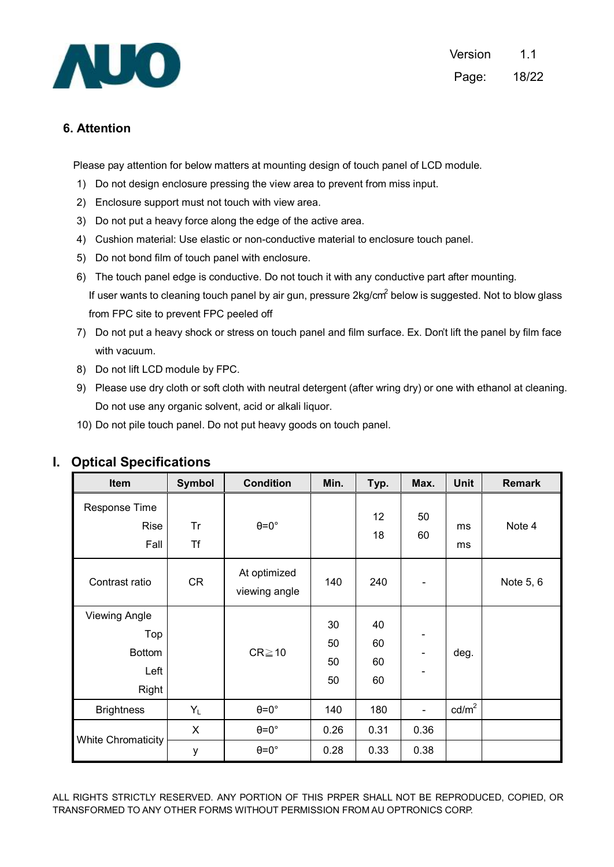

Version 1.1 Page: 18/22

## **6. Attention**

Please pay attention for below matters at mounting design of touch panel of LCD module.

- 1) Do not design enclosure pressing the view area to prevent from miss input.
- 2) Enclosure support must not touch with view area.
- 3) Do not put a heavy force along the edge of the active area.
- 4) Cushion material: Use elastic or non-conductive material to enclosure touch panel.
- 5) Do not bond film of touch panel with enclosure.
- 6) The touch panel edge is conductive. Do not touch it with any conductive part after mounting. If user wants to cleaning touch panel by air gun, pressure 2kg/cm<sup>2</sup> below is suggested. Not to blow glass from FPC site to prevent FPC peeled off
- 7) Do not put a heavy shock or stress on touch panel and film surface. Ex. Don't lift the panel by film face with vacuum.
- 8) Do not lift LCD module by FPC.
- 9) Please use dry cloth or soft cloth with neutral detergent (after wring dry) or one with ethanol at cleaning. Do not use any organic solvent, acid or alkali liquor.
- 10) Do not pile touch panel. Do not put heavy goods on touch panel.

| Item                                                          | <b>Symbol</b>   | <b>Condition</b>              | Min.                 | Typ.                 | Max.                                                 | <b>Unit</b>       | <b>Remark</b> |
|---------------------------------------------------------------|-----------------|-------------------------------|----------------------|----------------------|------------------------------------------------------|-------------------|---------------|
| Response Time<br>Rise<br>Fall                                 | Tr<br><b>Tf</b> | $\theta = 0^\circ$            |                      | 12<br>18             | 50<br>60                                             | ms<br>ms          | Note 4        |
| Contrast ratio                                                | <b>CR</b>       | At optimized<br>viewing angle | 140                  | 240                  |                                                      |                   | Note 5, 6     |
| <b>Viewing Angle</b><br>Top<br><b>Bottom</b><br>Left<br>Right |                 | $CR \ge 10$                   | 30<br>50<br>50<br>50 | 40<br>60<br>60<br>60 | $\overline{\phantom{0}}$<br>$\overline{\phantom{0}}$ | deg.              |               |
| <b>Brightness</b>                                             | $Y_L$           | $\theta = 0^\circ$            | 140                  | 180                  | $\blacksquare$                                       | cd/m <sup>2</sup> |               |
|                                                               | X               | $\theta = 0^\circ$            | 0.26                 | 0.31                 | 0.36                                                 |                   |               |
| <b>White Chromaticity</b>                                     | у               | $\theta = 0^\circ$            | 0.28                 | 0.33                 | 0.38                                                 |                   |               |

#### **I. Optical Specifications**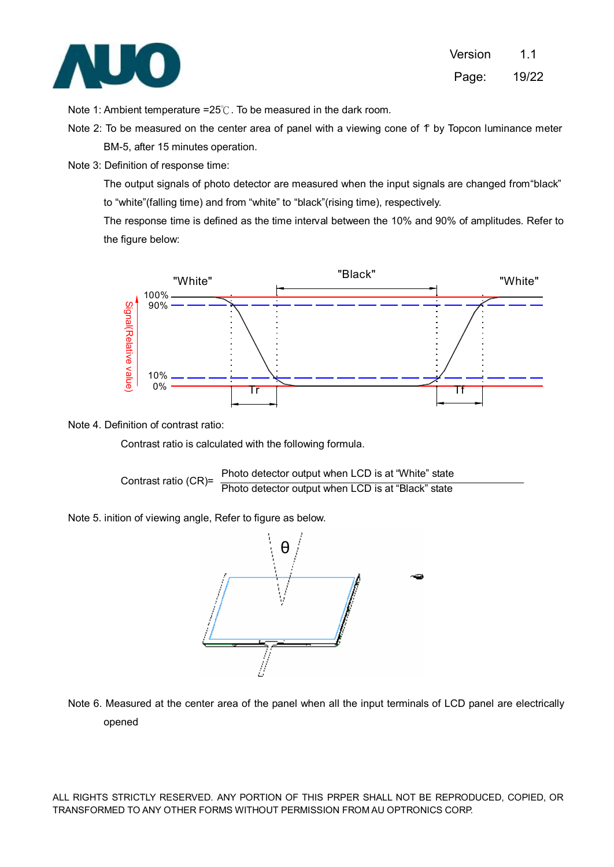

Note 1: Ambient temperature =25℃. To be measured in the dark room.

- Note 2: To be measured on the center area of panel with a viewing cone of  $f$  by Topcon luminance meter BM-5, after 15 minutes operation.
- Note 3: Definition of response time:

The output signals of photo detector are measured when the input signals are changed from "black" to "white"(falling time) and from "white" to "black"(rising time), respectively.

The response time is defined as the time interval between the 10% and 90% of amplitudes. Refer to the figure below:



#### Note 4. Definition of contrast ratio:

Contrast ratio is calculated with the following formula.

Contrast ratio (CR) = 
$$
\frac{\text{Photo detector output when LCD is at "White" state}}{\text{Photo detector output when LCD is at "Black" state}}
$$

Note 5. inition of viewing angle, Refer to figure as below.



Note 6. Measured at the center area of the panel when all the input terminals of LCD panel are electrically opened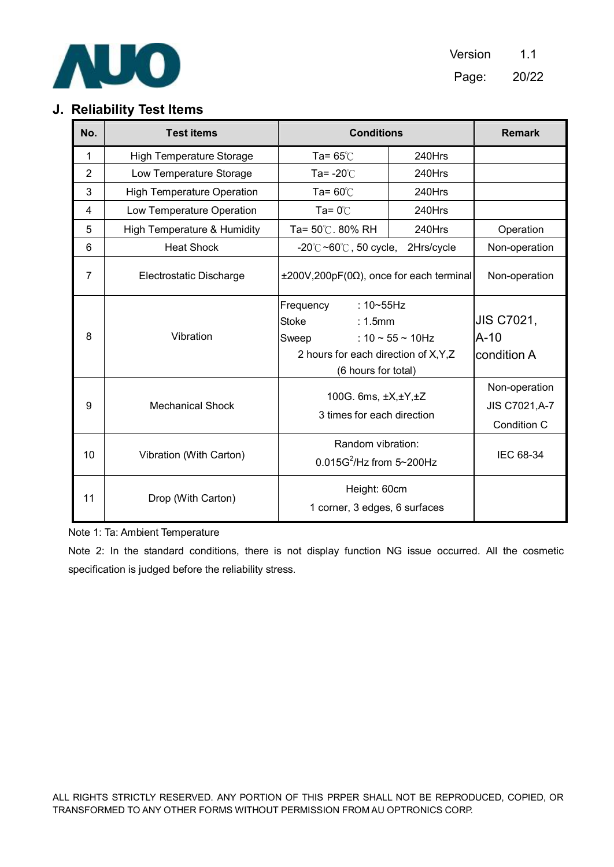

Version 1.1 Page: 20/22

## **J. Reliability Test Items**

| No.            | <b>Test items</b>                 | <b>Conditions</b>                                                                                                                    | <b>Remark</b>             |                                                |
|----------------|-----------------------------------|--------------------------------------------------------------------------------------------------------------------------------------|---------------------------|------------------------------------------------|
| 1              | <b>High Temperature Storage</b>   | Ta= $65^\circ$ C                                                                                                                     | 240Hrs                    |                                                |
| $\overline{2}$ | Low Temperature Storage           | Ta= $-20^{\circ}$ C                                                                                                                  | 240Hrs                    |                                                |
| 3              | <b>High Temperature Operation</b> | Ta= $60^{\circ}$ C                                                                                                                   | 240Hrs                    |                                                |
| 4              | Low Temperature Operation         | Ta= $0^{\circ}$ C                                                                                                                    | 240Hrs                    |                                                |
| 5              | High Temperature & Humidity       | Ta= 50℃. 80% RH                                                                                                                      | 240Hrs                    | Operation                                      |
| 6              | <b>Heat Shock</b>                 | $-20^{\circ}$ C ~60 $^{\circ}$ C, 50 cycle,                                                                                          | 2Hrs/cycle                | Non-operation                                  |
| $\overline{7}$ | Electrostatic Discharge           | $\pm 200V$ , 200pF(0 $\Omega$ ), once for each terminal                                                                              |                           | Non-operation                                  |
| 8              | Vibration                         | Frequency<br>$:10 \sim 55$ Hz<br><b>Stoke</b><br>$: 1.5$ mm<br>Sweep<br>2 hours for each direction of X, Y, Z<br>(6 hours for total) | : $10 \sim 55 \sim 10$ Hz | <b>JIS C7021,</b><br>$A-10$<br>condition A     |
| 9              | <b>Mechanical Shock</b>           | 100G. 6ms, ±X,±Y,±Z<br>3 times for each direction                                                                                    |                           | Non-operation<br>JIS C7021, A-7<br>Condition C |
| 10             | Vibration (With Carton)           | Random vibration:<br>$0.015G^2$ /Hz from 5~200Hz                                                                                     |                           | IEC 68-34                                      |
| 11             | Drop (With Carton)                | Height: 60cm<br>1 corner, 3 edges, 6 surfaces                                                                                        |                           |                                                |

Note 1: Ta: Ambient Temperature

Note 2: In the standard conditions, there is not display function NG issue occurred. All the cosmetic specification is judged before the reliability stress.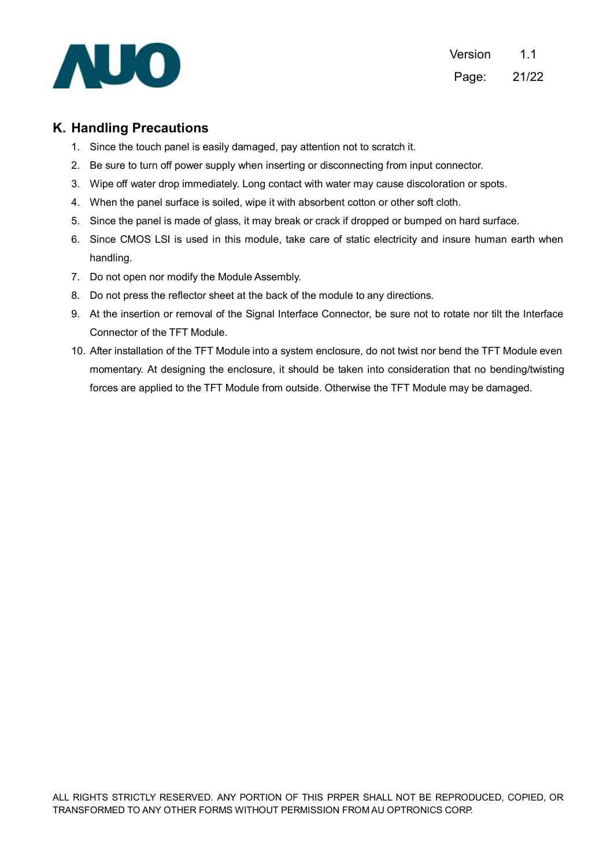

### **K. Handling Precautions**

- 1. Since the touch panel is easily damaged, pay attention not to scratch it.
- 2. Be sure to turn off power supply when inserting or disconnecting from input connector.
- 3. Wipe off water drop immediately. Long contact with water may cause discoloration or spots.
- 4. When the panel surface is soiled, wipe it with absorbent cotton or other soft cloth.
- 5. Since the panel is made of glass, it may break or crack if dropped or bumped on hard surface.
- 6. Since CMOS LSI is used in this module, take care of static electricity and insure human earth when handling.
- 7. Do not open nor modify the Module Assembly.
- 8. Do not press the reflector sheet at the back of the module to any directions.
- 9. At the insertion or removal of the Signal Interface Connector, be sure not to rotate nor tilt the Interface Connector of the TFT Module.
- 10. After installation of the TFT Module into a system enclosure, do not twist nor bend the TFT Module even momentary. At designing the enclosure, it should be taken into consideration that no bending/twisting forces are applied to the TFT Module from outside. Otherwise the TFT Module may be damaged.